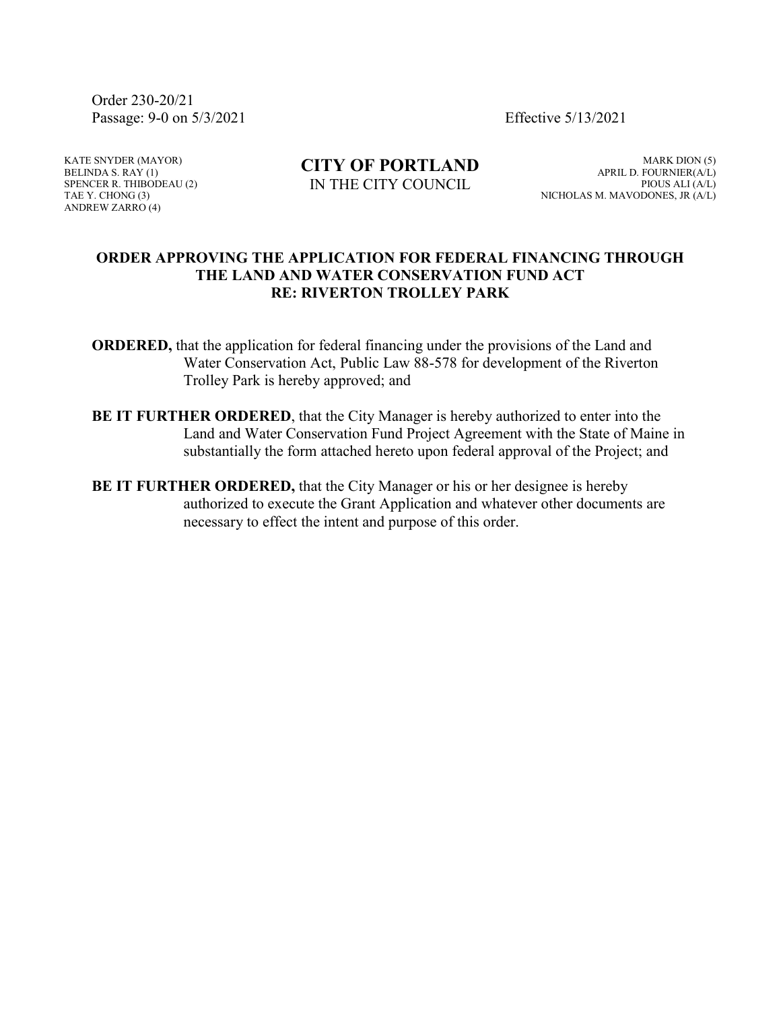Order 230-20/21 Passage: 9-0 on 5/3/2021 Effective 5/13/2021

KATE SNYDER (MAYOR) BELINDA S. RAY (1) SPENCER R. THIBODEAU (2) TAE Y. CHONG (3) ANDREW ZARRO (4)

**CITY OF PORTLAND** IN THE CITY COUNCIL

MARK DION (5) APRIL D. FOURNIER(A/L) PIOUS ALI (A/L) NICHOLAS M. MAVODONES, JR (A/L)

# **ORDER APPROVING THE APPLICATION FOR FEDERAL FINANCING THROUGH THE LAND AND WATER CONSERVATION FUND ACT RE: RIVERTON TROLLEY PARK**

**ORDERED,** that the application for federal financing under the provisions of the Land and Water Conservation Act, Public Law 88-578 for development of the Riverton Trolley Park is hereby approved; and

- **BE IT FURTHER ORDERED**, that the City Manager is hereby authorized to enter into the Land and Water Conservation Fund Project Agreement with the State of Maine in substantially the form attached hereto upon federal approval of the Project; and
- **BE IT FURTHER ORDERED,** that the City Manager or his or her designee is hereby authorized to execute the Grant Application and whatever other documents are necessary to effect the intent and purpose of this order.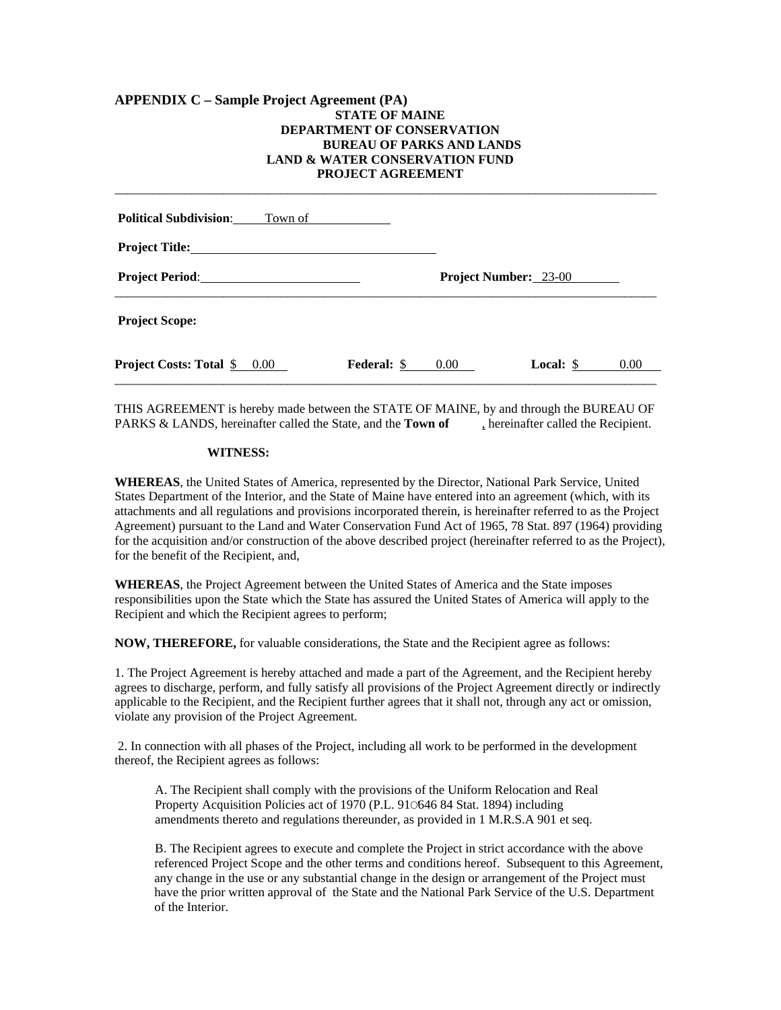# **APPENDIX C – Sample Project Agreement (PA) STATE OF MAINE DEPARTMENT OF CONSERVATION BUREAU OF PARKS AND LANDS LAND & WATER CONSERVATION FUND PROJECT AGREEMENT**

| <b>Political Subdivision:</b><br>Town of                  |                    |                       |           |          |
|-----------------------------------------------------------|--------------------|-----------------------|-----------|----------|
|                                                           |                    |                       |           |          |
|                                                           |                    | Project Number: 23-00 |           |          |
| <b>Project Scope:</b>                                     |                    |                       |           |          |
| <b>Project Costs: Total <math>\frac{6}{5}</math> 0.00</b> | <b>Federal: \$</b> | $0.00\,$              | Local: \$ | $0.00\,$ |
|                                                           |                    |                       |           |          |

\_\_\_\_\_\_\_\_\_\_\_\_\_\_\_\_\_\_\_\_\_\_\_\_\_\_\_\_\_\_\_\_\_\_\_\_\_\_\_\_\_\_\_\_\_\_\_\_\_\_\_\_\_\_\_\_\_\_\_\_\_\_\_\_\_\_\_\_\_\_\_\_\_\_\_\_\_\_\_\_\_\_\_\_\_

THIS AGREEMENT is hereby made between the STATE OF MAINE, by and through the BUREAU OF PARKS & LANDS, hereinafter called the State, and the **Town of** , hereinafter called the Recipient.

## **WITNESS:**

**WHEREAS**, the United States of America, represented by the Director, National Park Service, United States Department of the Interior, and the State of Maine have entered into an agreement (which, with its attachments and all regulations and provisions incorporated therein, is hereinafter referred to as the Project Agreement) pursuant to the Land and Water Conservation Fund Act of 1965, 78 Stat. 897 (1964) providing for the acquisition and/or construction of the above described project (hereinafter referred to as the Project), for the benefit of the Recipient, and,

**WHEREAS**, the Project Agreement between the United States of America and the State imposes responsibilities upon the State which the State has assured the United States of America will apply to the Recipient and which the Recipient agrees to perform;

**NOW, THEREFORE,** for valuable considerations, the State and the Recipient agree as follows:

1. The Project Agreement is hereby attached and made a part of the Agreement, and the Recipient hereby agrees to discharge, perform, and fully satisfy all provisions of the Project Agreement directly or indirectly applicable to the Recipient, and the Recipient further agrees that it shall not, through any act or omission, violate any provision of the Project Agreement.

 2. In connection with all phases of the Project, including all work to be performed in the development thereof, the Recipient agrees as follows:

 A. The Recipient shall comply with the provisions of the Uniform Relocation and Real Property Acquisition Policies act of 1970 (P.L. 910646 84 Stat. 1894) including amendments thereto and regulations thereunder, as provided in 1 M.R.S.A 901 et seq.

 B. The Recipient agrees to execute and complete the Project in strict accordance with the above referenced Project Scope and the other terms and conditions hereof. Subsequent to this Agreement, any change in the use or any substantial change in the design or arrangement of the Project must have the prior written approval of the State and the National Park Service of the U.S. Department of the Interior.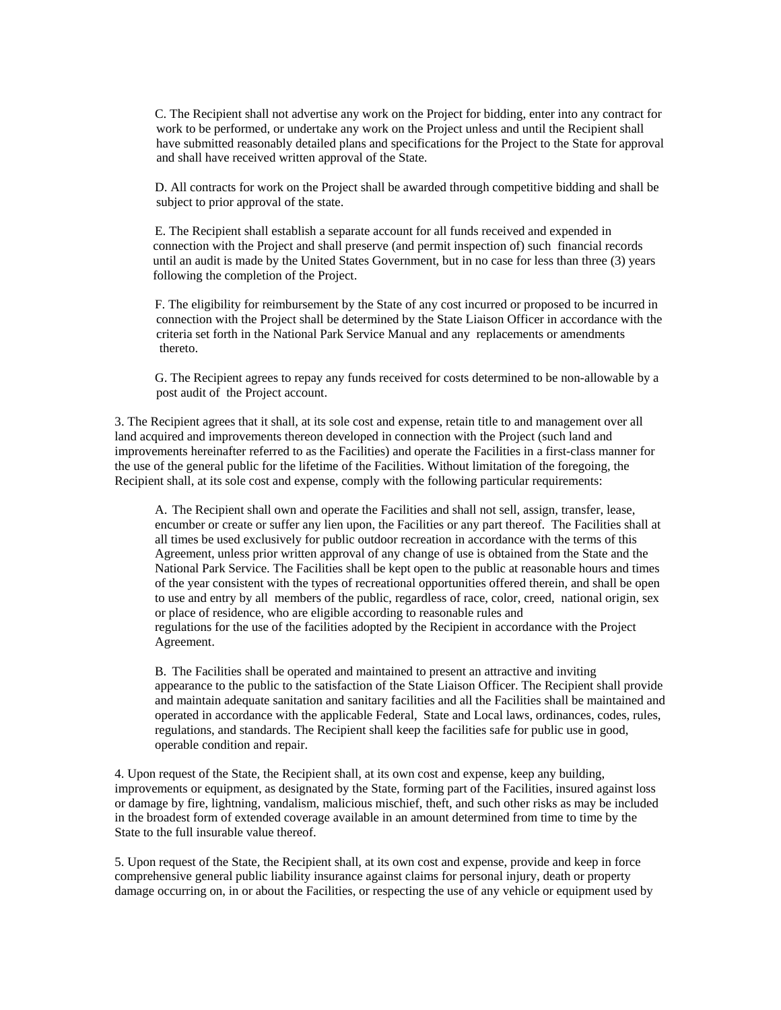C. The Recipient shall not advertise any work on the Project for bidding, enter into any contract for work to be performed, or undertake any work on the Project unless and until the Recipient shall have submitted reasonably detailed plans and specifications for the Project to the State for approval and shall have received written approval of the State.

 D. All contracts for work on the Project shall be awarded through competitive bidding and shall be subject to prior approval of the state.

 E. The Recipient shall establish a separate account for all funds received and expended in connection with the Project and shall preserve (and permit inspection of) such financial records until an audit is made by the United States Government, but in no case for less than three (3) years following the completion of the Project.

 F. The eligibility for reimbursement by the State of any cost incurred or proposed to be incurred in connection with the Project shall be determined by the State Liaison Officer in accordance with the criteria set forth in the National Park Service Manual and any replacements or amendments thereto.

 G. The Recipient agrees to repay any funds received for costs determined to be non-allowable by a post audit of the Project account.

3. The Recipient agrees that it shall, at its sole cost and expense, retain title to and management over all land acquired and improvements thereon developed in connection with the Project (such land and improvements hereinafter referred to as the Facilities) and operate the Facilities in a first-class manner for the use of the general public for the lifetime of the Facilities. Without limitation of the foregoing, the Recipient shall, at its sole cost and expense, comply with the following particular requirements:

A. The Recipient shall own and operate the Facilities and shall not sell, assign, transfer, lease, encumber or create or suffer any lien upon, the Facilities or any part thereof. The Facilities shall at all times be used exclusively for public outdoor recreation in accordance with the terms of this Agreement, unless prior written approval of any change of use is obtained from the State and the National Park Service. The Facilities shall be kept open to the public at reasonable hours and times of the year consistent with the types of recreational opportunities offered therein, and shall be open to use and entry by all members of the public, regardless of race, color, creed, national origin, sex or place of residence, who are eligible according to reasonable rules and regulations for the use of the facilities adopted by the Recipient in accordance with the Project Agreement.

B. The Facilities shall be operated and maintained to present an attractive and inviting appearance to the public to the satisfaction of the State Liaison Officer. The Recipient shall provide and maintain adequate sanitation and sanitary facilities and all the Facilities shall be maintained and operated in accordance with the applicable Federal, State and Local laws, ordinances, codes, rules, regulations, and standards. The Recipient shall keep the facilities safe for public use in good, operable condition and repair.

4. Upon request of the State, the Recipient shall, at its own cost and expense, keep any building, improvements or equipment, as designated by the State, forming part of the Facilities, insured against loss or damage by fire, lightning, vandalism, malicious mischief, theft, and such other risks as may be included in the broadest form of extended coverage available in an amount determined from time to time by the State to the full insurable value thereof.

5. Upon request of the State, the Recipient shall, at its own cost and expense, provide and keep in force comprehensive general public liability insurance against claims for personal injury, death or property damage occurring on, in or about the Facilities, or respecting the use of any vehicle or equipment used by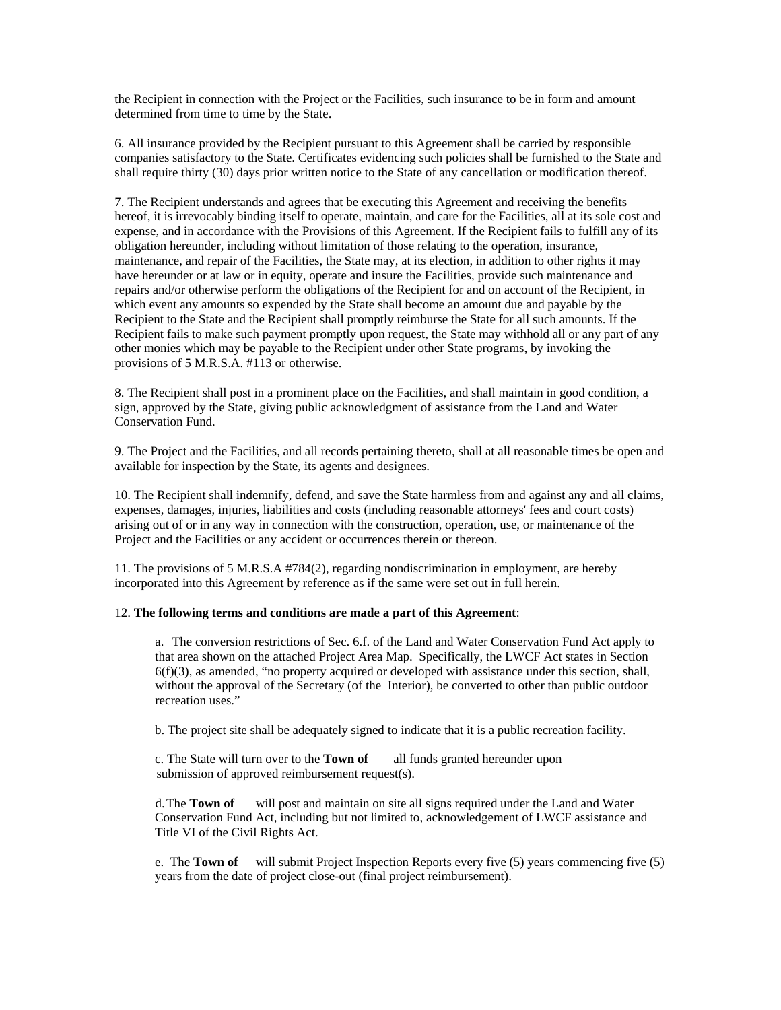the Recipient in connection with the Project or the Facilities, such insurance to be in form and amount determined from time to time by the State.

6. All insurance provided by the Recipient pursuant to this Agreement shall be carried by responsible companies satisfactory to the State. Certificates evidencing such policies shall be furnished to the State and shall require thirty (30) days prior written notice to the State of any cancellation or modification thereof.

7. The Recipient understands and agrees that be executing this Agreement and receiving the benefits hereof, it is irrevocably binding itself to operate, maintain, and care for the Facilities, all at its sole cost and expense, and in accordance with the Provisions of this Agreement. If the Recipient fails to fulfill any of its obligation hereunder, including without limitation of those relating to the operation, insurance, maintenance, and repair of the Facilities, the State may, at its election, in addition to other rights it may have hereunder or at law or in equity, operate and insure the Facilities, provide such maintenance and repairs and/or otherwise perform the obligations of the Recipient for and on account of the Recipient, in which event any amounts so expended by the State shall become an amount due and payable by the Recipient to the State and the Recipient shall promptly reimburse the State for all such amounts. If the Recipient fails to make such payment promptly upon request, the State may withhold all or any part of any other monies which may be payable to the Recipient under other State programs, by invoking the provisions of 5 M.R.S.A. #113 or otherwise.

8. The Recipient shall post in a prominent place on the Facilities, and shall maintain in good condition, a sign, approved by the State, giving public acknowledgment of assistance from the Land and Water Conservation Fund.

9. The Project and the Facilities, and all records pertaining thereto, shall at all reasonable times be open and available for inspection by the State, its agents and designees.

10. The Recipient shall indemnify, defend, and save the State harmless from and against any and all claims, expenses, damages, injuries, liabilities and costs (including reasonable attorneys' fees and court costs) arising out of or in any way in connection with the construction, operation, use, or maintenance of the Project and the Facilities or any accident or occurrences therein or thereon.

11. The provisions of 5 M.R.S.A #784(2), regarding nondiscrimination in employment, are hereby incorporated into this Agreement by reference as if the same were set out in full herein.

#### 12. **The following terms and conditions are made a part of this Agreement**:

a. The conversion restrictions of Sec. 6.f. of the Land and Water Conservation Fund Act apply to that area shown on the attached Project Area Map. Specifically, the LWCF Act states in Section 6(f)(3), as amended, "no property acquired or developed with assistance under this section, shall, without the approval of the Secretary (of the Interior), be converted to other than public outdoor recreation uses."

b. The project site shall be adequately signed to indicate that it is a public recreation facility.

 c. The State will turn over to the **Town of** all funds granted hereunder upon submission of approved reimbursement request(s).

d. The **Town of** will post and maintain on site all signs required under the Land and Water Conservation Fund Act, including but not limited to, acknowledgement of LWCF assistance and Title VI of the Civil Rights Act.

e. The **Town of** will submit Project Inspection Reports every five (5) years commencing five (5) years from the date of project close-out (final project reimbursement).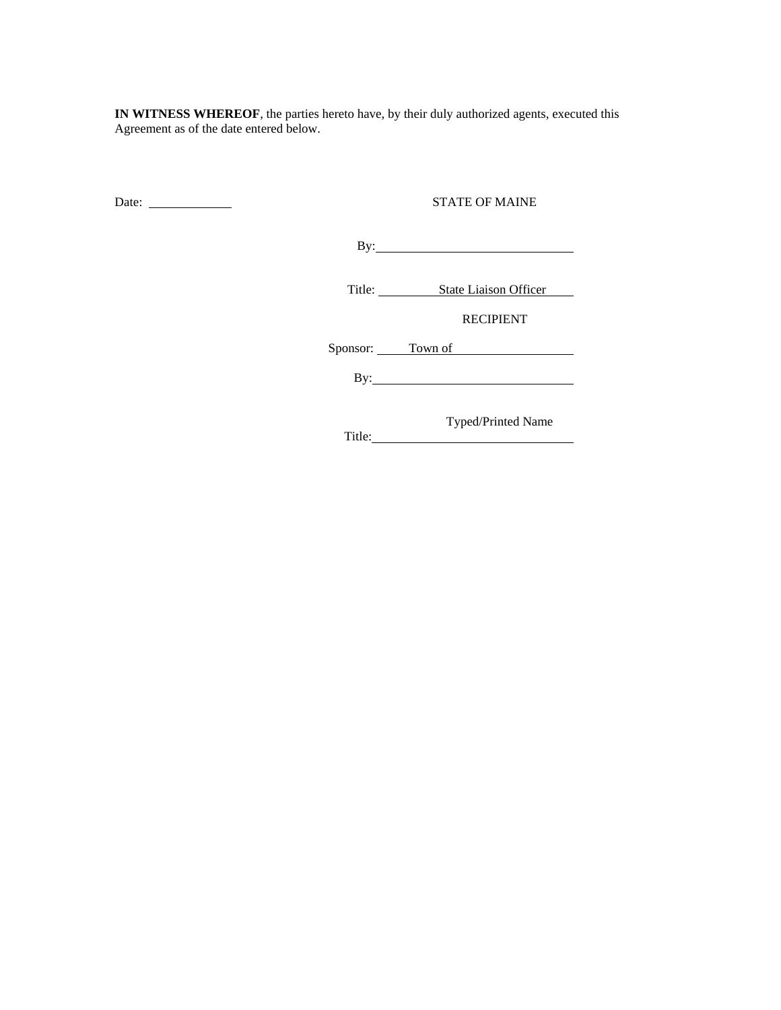**IN WITNESS WHEREOF**, the parties hereto have, by their duly authorized agents, executed this Agreement as of the date entered below.

Date: STATE OF MAINE

By:

Title: State Liaison Officer

RECIPIENT

Sponsor: <u>Town of</u>

By:

 Typed/Printed Name Title: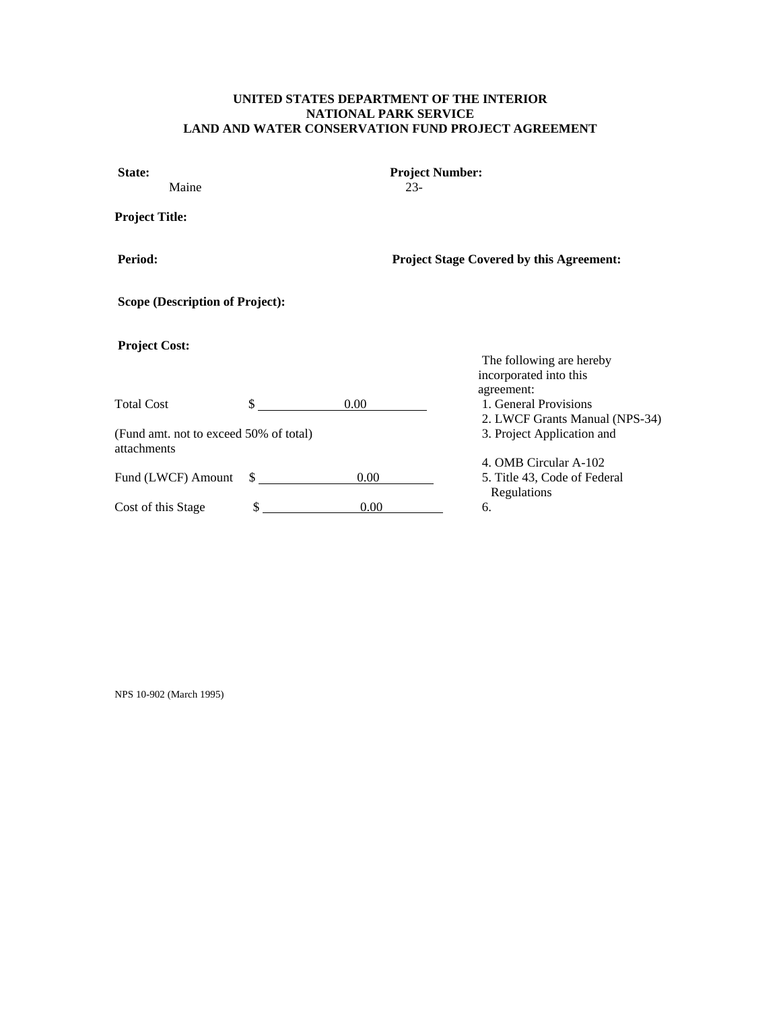# **UNITED STATES DEPARTMENT OF THE INTERIOR NATIONAL PARK SERVICE LAND AND WATER CONSERVATION FUND PROJECT AGREEMENT**

| State:<br>Maine                                       |              |          | <b>Project Number:</b><br>$23-$                 |                                                                       |  |  |
|-------------------------------------------------------|--------------|----------|-------------------------------------------------|-----------------------------------------------------------------------|--|--|
| <b>Project Title:</b>                                 |              |          |                                                 |                                                                       |  |  |
| Period:                                               |              |          | <b>Project Stage Covered by this Agreement:</b> |                                                                       |  |  |
| <b>Scope (Description of Project):</b>                |              |          |                                                 |                                                                       |  |  |
| <b>Project Cost:</b>                                  |              |          |                                                 | The following are hereby<br>incorporated into this                    |  |  |
| <b>Total Cost</b>                                     | \$           | 0.00     |                                                 | agreement:<br>1. General Provisions<br>2. LWCF Grants Manual (NPS-34) |  |  |
| (Fund amt. not to exceed 50% of total)<br>attachments |              |          |                                                 | 3. Project Application and                                            |  |  |
| Fund (LWCF) Amount                                    | $\mathbb{S}$ | $0.00\,$ |                                                 | 4. OMB Circular A-102<br>5. Title 43, Code of Federal<br>Regulations  |  |  |
| Cost of this Stage                                    | \$           | 0.00     |                                                 | 6.                                                                    |  |  |

NPS 10-902 (March 1995)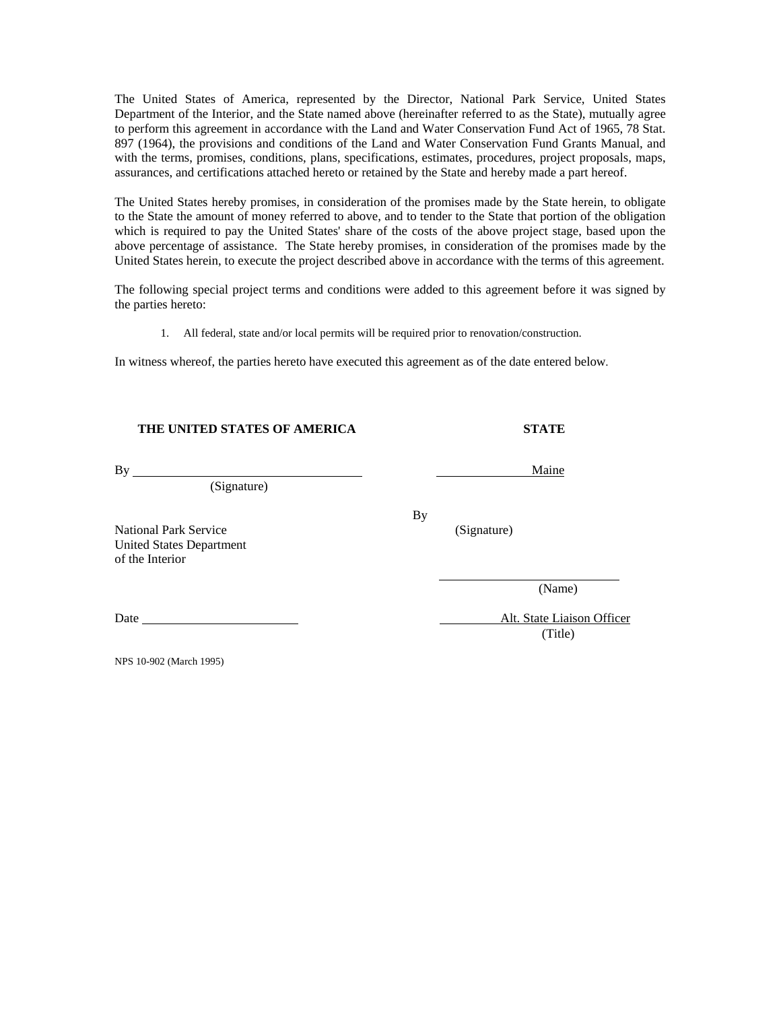The United States of America, represented by the Director, National Park Service, United States Department of the Interior, and the State named above (hereinafter referred to as the State), mutually agree to perform this agreement in accordance with the Land and Water Conservation Fund Act of 1965, 78 Stat. 897 (1964), the provisions and conditions of the Land and Water Conservation Fund Grants Manual, and with the terms, promises, conditions, plans, specifications, estimates, procedures, project proposals, maps, assurances, and certifications attached hereto or retained by the State and hereby made a part hereof.

The United States hereby promises, in consideration of the promises made by the State herein, to obligate to the State the amount of money referred to above, and to tender to the State that portion of the obligation which is required to pay the United States' share of the costs of the above project stage, based upon the above percentage of assistance. The State hereby promises, in consideration of the promises made by the United States herein, to execute the project described above in accordance with the terms of this agreement.

The following special project terms and conditions were added to this agreement before it was signed by the parties hereto:

1. All federal, state and/or local permits will be required prior to renovation/construction.

In witness whereof, the parties hereto have executed this agreement as of the date entered below.

| THE UNITED STATES OF AMERICA                                                       |           | <b>STATE</b> |  |
|------------------------------------------------------------------------------------|-----------|--------------|--|
| By                                                                                 |           | Maine        |  |
| (Signature)                                                                        |           |              |  |
| <b>National Park Service</b><br><b>United States Department</b><br>of the Interior | <b>By</b> | (Signature)  |  |
|                                                                                    |           | (Name)       |  |

Date Alt. State Liaison Officer (Title)

NPS 10-902 (March 1995)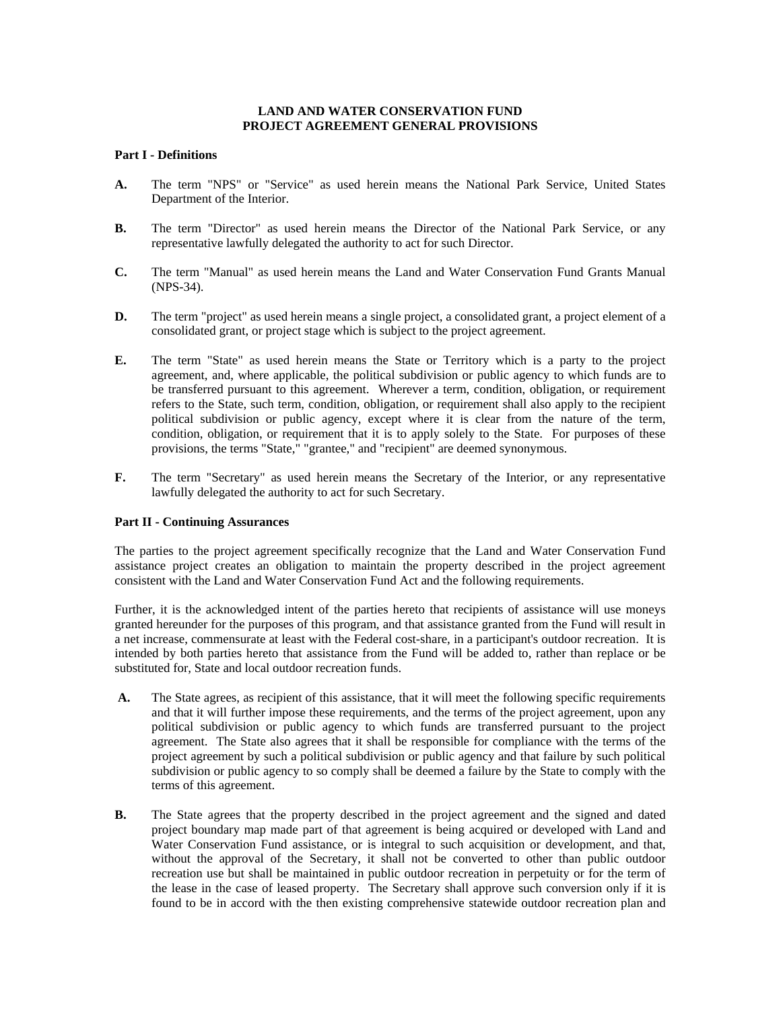# **LAND AND WATER CONSERVATION FUND PROJECT AGREEMENT GENERAL PROVISIONS**

# **Part I - Definitions**

- **A.** The term "NPS" or "Service" as used herein means the National Park Service, United States Department of the Interior.
- **B.** The term "Director" as used herein means the Director of the National Park Service, or any representative lawfully delegated the authority to act for such Director.
- **C.** The term "Manual" as used herein means the Land and Water Conservation Fund Grants Manual (NPS-34).
- **D.** The term "project" as used herein means a single project, a consolidated grant, a project element of a consolidated grant, or project stage which is subject to the project agreement.
- **E.** The term "State" as used herein means the State or Territory which is a party to the project agreement, and, where applicable, the political subdivision or public agency to which funds are to be transferred pursuant to this agreement. Wherever a term, condition, obligation, or requirement refers to the State, such term, condition, obligation, or requirement shall also apply to the recipient political subdivision or public agency, except where it is clear from the nature of the term, condition, obligation, or requirement that it is to apply solely to the State. For purposes of these provisions, the terms "State," "grantee," and "recipient" are deemed synonymous.
- **F.** The term "Secretary" as used herein means the Secretary of the Interior, or any representative lawfully delegated the authority to act for such Secretary.

#### **Part II - Continuing Assurances**

The parties to the project agreement specifically recognize that the Land and Water Conservation Fund assistance project creates an obligation to maintain the property described in the project agreement consistent with the Land and Water Conservation Fund Act and the following requirements.

Further, it is the acknowledged intent of the parties hereto that recipients of assistance will use moneys granted hereunder for the purposes of this program, and that assistance granted from the Fund will result in a net increase, commensurate at least with the Federal cost-share, in a participant's outdoor recreation. It is intended by both parties hereto that assistance from the Fund will be added to, rather than replace or be substituted for, State and local outdoor recreation funds.

- **A.** The State agrees, as recipient of this assistance, that it will meet the following specific requirements and that it will further impose these requirements, and the terms of the project agreement, upon any political subdivision or public agency to which funds are transferred pursuant to the project agreement. The State also agrees that it shall be responsible for compliance with the terms of the project agreement by such a political subdivision or public agency and that failure by such political subdivision or public agency to so comply shall be deemed a failure by the State to comply with the terms of this agreement.
- **B.** The State agrees that the property described in the project agreement and the signed and dated project boundary map made part of that agreement is being acquired or developed with Land and Water Conservation Fund assistance, or is integral to such acquisition or development, and that, without the approval of the Secretary, it shall not be converted to other than public outdoor recreation use but shall be maintained in public outdoor recreation in perpetuity or for the term of the lease in the case of leased property. The Secretary shall approve such conversion only if it is found to be in accord with the then existing comprehensive statewide outdoor recreation plan and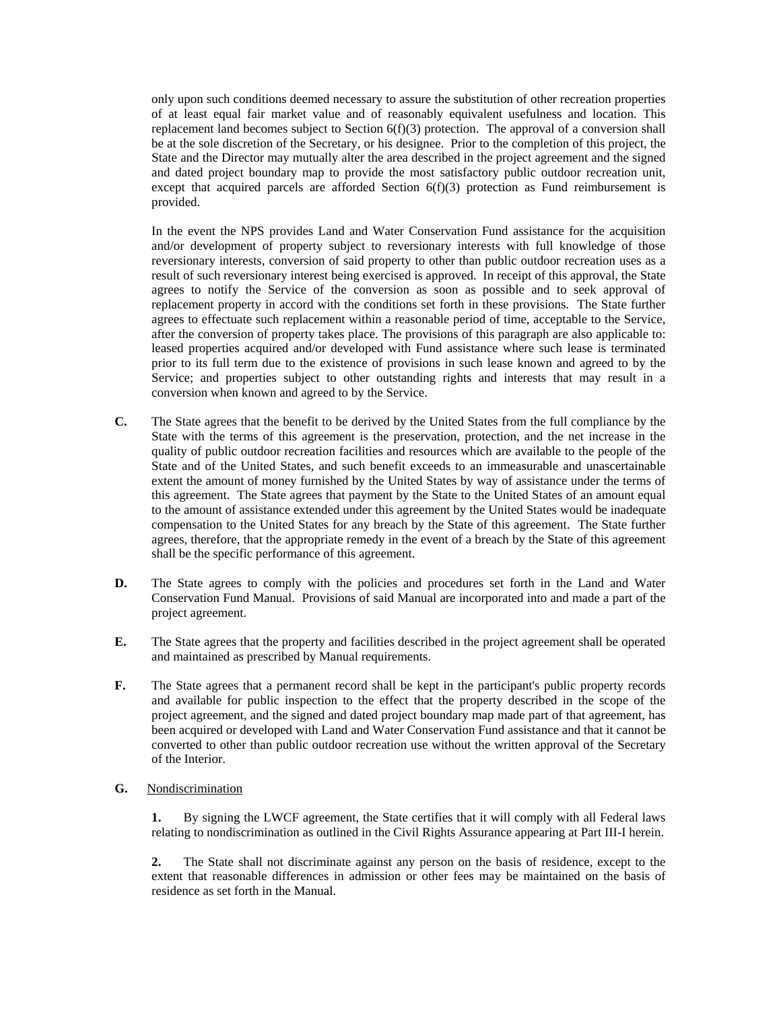only upon such conditions deemed necessary to assure the substitution of other recreation properties of at least equal fair market value and of reasonably equivalent usefulness and location. This replacement land becomes subject to Section  $6(f)(3)$  protection. The approval of a conversion shall be at the sole discretion of the Secretary, or his designee. Prior to the completion of this project, the State and the Director may mutually alter the area described in the project agreement and the signed and dated project boundary map to provide the most satisfactory public outdoor recreation unit, except that acquired parcels are afforded Section 6(f)(3) protection as Fund reimbursement is provided.

 In the event the NPS provides Land and Water Conservation Fund assistance for the acquisition and/or development of property subject to reversionary interests with full knowledge of those reversionary interests, conversion of said property to other than public outdoor recreation uses as a result of such reversionary interest being exercised is approved. In receipt of this approval, the State agrees to notify the Service of the conversion as soon as possible and to seek approval of replacement property in accord with the conditions set forth in these provisions. The State further agrees to effectuate such replacement within a reasonable period of time, acceptable to the Service, after the conversion of property takes place. The provisions of this paragraph are also applicable to: leased properties acquired and/or developed with Fund assistance where such lease is terminated prior to its full term due to the existence of provisions in such lease known and agreed to by the Service; and properties subject to other outstanding rights and interests that may result in a conversion when known and agreed to by the Service.

- **C.** The State agrees that the benefit to be derived by the United States from the full compliance by the State with the terms of this agreement is the preservation, protection, and the net increase in the quality of public outdoor recreation facilities and resources which are available to the people of the State and of the United States, and such benefit exceeds to an immeasurable and unascertainable extent the amount of money furnished by the United States by way of assistance under the terms of this agreement. The State agrees that payment by the State to the United States of an amount equal to the amount of assistance extended under this agreement by the United States would be inadequate compensation to the United States for any breach by the State of this agreement. The State further agrees, therefore, that the appropriate remedy in the event of a breach by the State of this agreement shall be the specific performance of this agreement.
- **D.** The State agrees to comply with the policies and procedures set forth in the Land and Water Conservation Fund Manual. Provisions of said Manual are incorporated into and made a part of the project agreement.
- **E.** The State agrees that the property and facilities described in the project agreement shall be operated and maintained as prescribed by Manual requirements.
- **F.** The State agrees that a permanent record shall be kept in the participant's public property records and available for public inspection to the effect that the property described in the scope of the project agreement, and the signed and dated project boundary map made part of that agreement, has been acquired or developed with Land and Water Conservation Fund assistance and that it cannot be converted to other than public outdoor recreation use without the written approval of the Secretary of the Interior.
- **G.** Nondiscrimination

 **1.** By signing the LWCF agreement, the State certifies that it will comply with all Federal laws relating to nondiscrimination as outlined in the Civil Rights Assurance appearing at Part III-I herein.

 **2.** The State shall not discriminate against any person on the basis of residence, except to the extent that reasonable differences in admission or other fees may be maintained on the basis of residence as set forth in the Manual.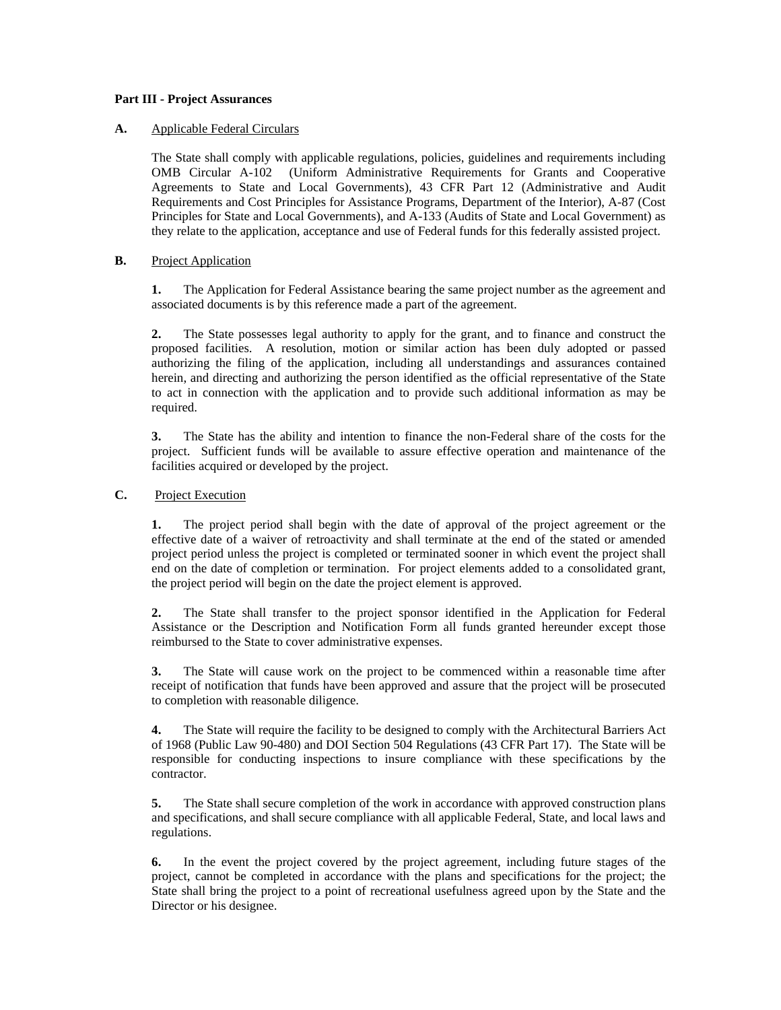# **Part III - Project Assurances**

# **A.** Applicable Federal Circulars

 The State shall comply with applicable regulations, policies, guidelines and requirements including OMB Circular A-102 (Uniform Administrative Requirements for Grants and Cooperative Agreements to State and Local Governments), 43 CFR Part 12 (Administrative and Audit Requirements and Cost Principles for Assistance Programs, Department of the Interior), A-87 (Cost Principles for State and Local Governments), and A-133 (Audits of State and Local Government) as they relate to the application, acceptance and use of Federal funds for this federally assisted project.

# **B.** Project Application

 **1.** The Application for Federal Assistance bearing the same project number as the agreement and associated documents is by this reference made a part of the agreement.

 **2.** The State possesses legal authority to apply for the grant, and to finance and construct the proposed facilities. A resolution, motion or similar action has been duly adopted or passed authorizing the filing of the application, including all understandings and assurances contained herein, and directing and authorizing the person identified as the official representative of the State to act in connection with the application and to provide such additional information as may be required.

 **3.** The State has the ability and intention to finance the non-Federal share of the costs for the project. Sufficient funds will be available to assure effective operation and maintenance of the facilities acquired or developed by the project.

# **C.** Project Execution

 **1.** The project period shall begin with the date of approval of the project agreement or the effective date of a waiver of retroactivity and shall terminate at the end of the stated or amended project period unless the project is completed or terminated sooner in which event the project shall end on the date of completion or termination. For project elements added to a consolidated grant, the project period will begin on the date the project element is approved.

 **2.** The State shall transfer to the project sponsor identified in the Application for Federal Assistance or the Description and Notification Form all funds granted hereunder except those reimbursed to the State to cover administrative expenses.

 **3.** The State will cause work on the project to be commenced within a reasonable time after receipt of notification that funds have been approved and assure that the project will be prosecuted to completion with reasonable diligence.

 **4.** The State will require the facility to be designed to comply with the Architectural Barriers Act of 1968 (Public Law 90-480) and DOI Section 504 Regulations (43 CFR Part 17). The State will be responsible for conducting inspections to insure compliance with these specifications by the contractor.

 **5.** The State shall secure completion of the work in accordance with approved construction plans and specifications, and shall secure compliance with all applicable Federal, State, and local laws and regulations.

 **6.** In the event the project covered by the project agreement, including future stages of the project, cannot be completed in accordance with the plans and specifications for the project; the State shall bring the project to a point of recreational usefulness agreed upon by the State and the Director or his designee.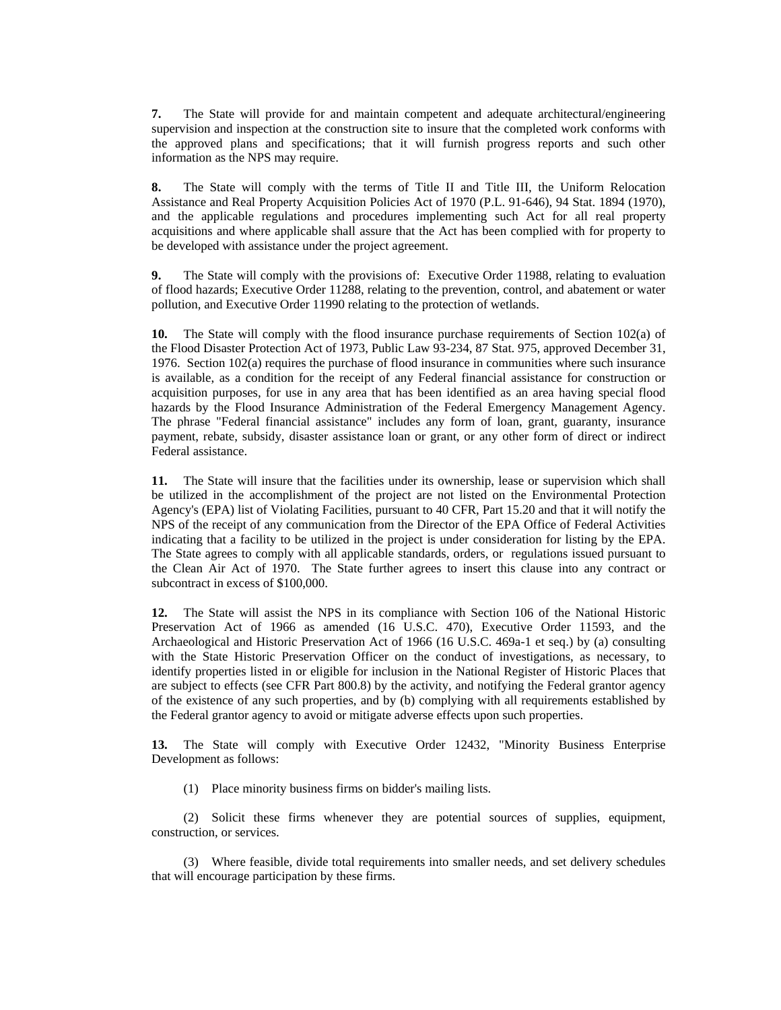**7.** The State will provide for and maintain competent and adequate architectural/engineering supervision and inspection at the construction site to insure that the completed work conforms with the approved plans and specifications; that it will furnish progress reports and such other information as the NPS may require.

 **8.** The State will comply with the terms of Title II and Title III, the Uniform Relocation Assistance and Real Property Acquisition Policies Act of 1970 (P.L. 91-646), 94 Stat. 1894 (1970), and the applicable regulations and procedures implementing such Act for all real property acquisitions and where applicable shall assure that the Act has been complied with for property to be developed with assistance under the project agreement.

 **9.** The State will comply with the provisions of: Executive Order 11988, relating to evaluation of flood hazards; Executive Order 11288, relating to the prevention, control, and abatement or water pollution, and Executive Order 11990 relating to the protection of wetlands.

 **10.** The State will comply with the flood insurance purchase requirements of Section 102(a) of the Flood Disaster Protection Act of 1973, Public Law 93-234, 87 Stat. 975, approved December 31, 1976. Section 102(a) requires the purchase of flood insurance in communities where such insurance is available, as a condition for the receipt of any Federal financial assistance for construction or acquisition purposes, for use in any area that has been identified as an area having special flood hazards by the Flood Insurance Administration of the Federal Emergency Management Agency. The phrase "Federal financial assistance" includes any form of loan, grant, guaranty, insurance payment, rebate, subsidy, disaster assistance loan or grant, or any other form of direct or indirect Federal assistance.

 **11.** The State will insure that the facilities under its ownership, lease or supervision which shall be utilized in the accomplishment of the project are not listed on the Environmental Protection Agency's (EPA) list of Violating Facilities, pursuant to 40 CFR, Part 15.20 and that it will notify the NPS of the receipt of any communication from the Director of the EPA Office of Federal Activities indicating that a facility to be utilized in the project is under consideration for listing by the EPA. The State agrees to comply with all applicable standards, orders, or regulations issued pursuant to the Clean Air Act of 1970. The State further agrees to insert this clause into any contract or subcontract in excess of \$100,000.

 **12.** The State will assist the NPS in its compliance with Section 106 of the National Historic Preservation Act of 1966 as amended (16 U.S.C. 470), Executive Order 11593, and the Archaeological and Historic Preservation Act of 1966 (16 U.S.C. 469a-1 et seq.) by (a) consulting with the State Historic Preservation Officer on the conduct of investigations, as necessary, to identify properties listed in or eligible for inclusion in the National Register of Historic Places that are subject to effects (see CFR Part 800.8) by the activity, and notifying the Federal grantor agency of the existence of any such properties, and by (b) complying with all requirements established by the Federal grantor agency to avoid or mitigate adverse effects upon such properties.

 **13.** The State will comply with Executive Order 12432, "Minority Business Enterprise Development as follows:

(1) Place minority business firms on bidder's mailing lists.

 (2) Solicit these firms whenever they are potential sources of supplies, equipment, construction, or services.

 (3) Where feasible, divide total requirements into smaller needs, and set delivery schedules that will encourage participation by these firms.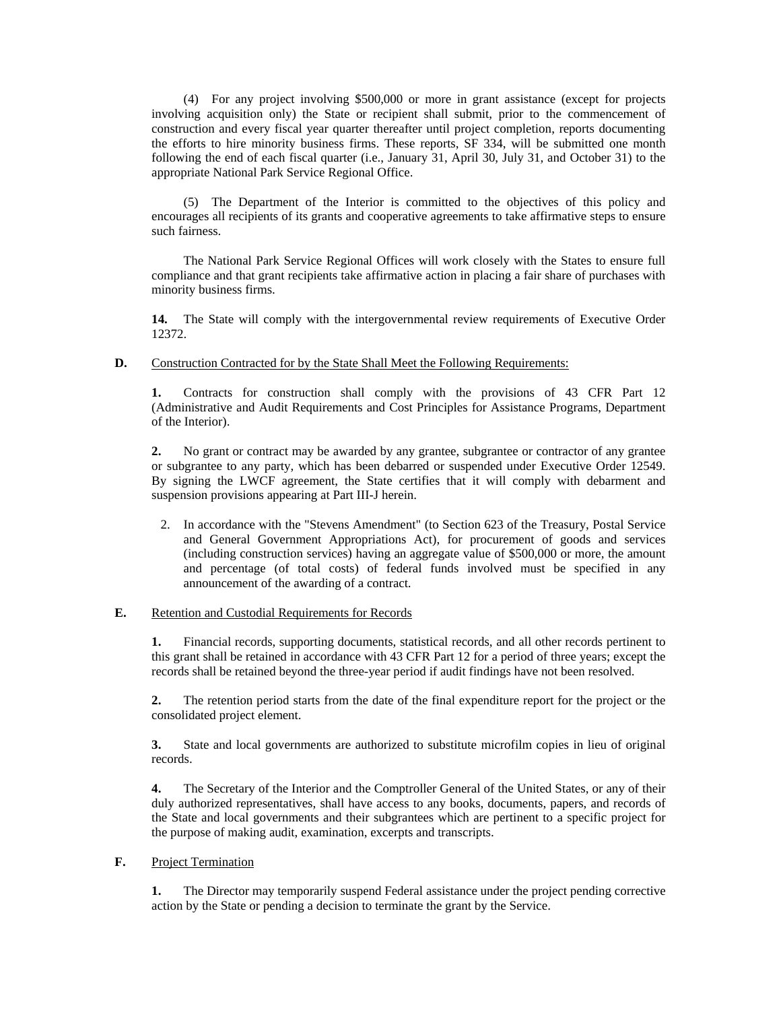(4) For any project involving \$500,000 or more in grant assistance (except for projects involving acquisition only) the State or recipient shall submit, prior to the commencement of construction and every fiscal year quarter thereafter until project completion, reports documenting the efforts to hire minority business firms. These reports, SF 334, will be submitted one month following the end of each fiscal quarter (i.e., January 31, April 30, July 31, and October 31) to the appropriate National Park Service Regional Office.

 (5) The Department of the Interior is committed to the objectives of this policy and encourages all recipients of its grants and cooperative agreements to take affirmative steps to ensure such fairness.

 The National Park Service Regional Offices will work closely with the States to ensure full compliance and that grant recipients take affirmative action in placing a fair share of purchases with minority business firms.

14. The State will comply with the intergovernmental review requirements of Executive Order 12372.

#### **D.** Construction Contracted for by the State Shall Meet the Following Requirements:

 **1.** Contracts for construction shall comply with the provisions of 43 CFR Part 12 (Administrative and Audit Requirements and Cost Principles for Assistance Programs, Department of the Interior).

 **2.** No grant or contract may be awarded by any grantee, subgrantee or contractor of any grantee or subgrantee to any party, which has been debarred or suspended under Executive Order 12549. By signing the LWCF agreement, the State certifies that it will comply with debarment and suspension provisions appearing at Part III-J herein.

2. In accordance with the "Stevens Amendment" (to Section 623 of the Treasury, Postal Service and General Government Appropriations Act), for procurement of goods and services (including construction services) having an aggregate value of \$500,000 or more, the amount and percentage (of total costs) of federal funds involved must be specified in any announcement of the awarding of a contract.

#### **E.** Retention and Custodial Requirements for Records

 **1.** Financial records, supporting documents, statistical records, and all other records pertinent to this grant shall be retained in accordance with 43 CFR Part 12 for a period of three years; except the records shall be retained beyond the three-year period if audit findings have not been resolved.

 **2.** The retention period starts from the date of the final expenditure report for the project or the consolidated project element.

 **3.** State and local governments are authorized to substitute microfilm copies in lieu of original records.

 **4.** The Secretary of the Interior and the Comptroller General of the United States, or any of their duly authorized representatives, shall have access to any books, documents, papers, and records of the State and local governments and their subgrantees which are pertinent to a specific project for the purpose of making audit, examination, excerpts and transcripts.

# **F.** Project Termination

 **1.** The Director may temporarily suspend Federal assistance under the project pending corrective action by the State or pending a decision to terminate the grant by the Service.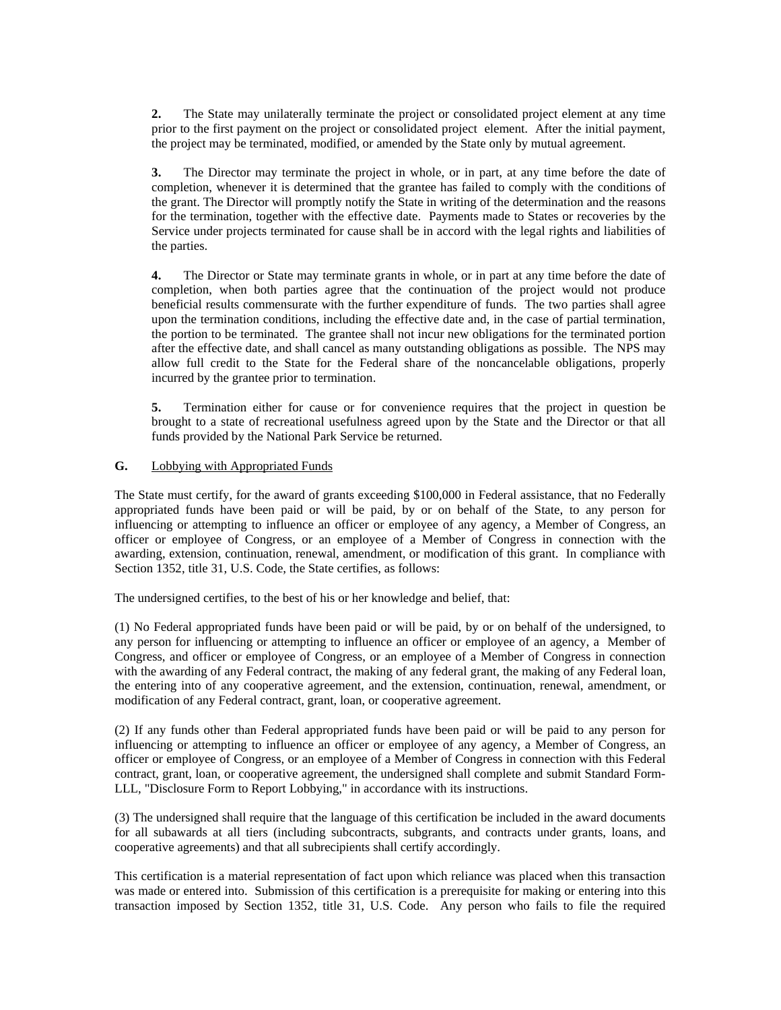**2.** The State may unilaterally terminate the project or consolidated project element at any time prior to the first payment on the project or consolidated project element. After the initial payment, the project may be terminated, modified, or amended by the State only by mutual agreement.

 **3.** The Director may terminate the project in whole, or in part, at any time before the date of completion, whenever it is determined that the grantee has failed to comply with the conditions of the grant. The Director will promptly notify the State in writing of the determination and the reasons for the termination, together with the effective date. Payments made to States or recoveries by the Service under projects terminated for cause shall be in accord with the legal rights and liabilities of the parties.

 **4.** The Director or State may terminate grants in whole, or in part at any time before the date of completion, when both parties agree that the continuation of the project would not produce beneficial results commensurate with the further expenditure of funds. The two parties shall agree upon the termination conditions, including the effective date and, in the case of partial termination, the portion to be terminated. The grantee shall not incur new obligations for the terminated portion after the effective date, and shall cancel as many outstanding obligations as possible. The NPS may allow full credit to the State for the Federal share of the noncancelable obligations, properly incurred by the grantee prior to termination.

 **5.** Termination either for cause or for convenience requires that the project in question be brought to a state of recreational usefulness agreed upon by the State and the Director or that all funds provided by the National Park Service be returned.

# **G.** Lobbying with Appropriated Funds

The State must certify, for the award of grants exceeding \$100,000 in Federal assistance, that no Federally appropriated funds have been paid or will be paid, by or on behalf of the State, to any person for influencing or attempting to influence an officer or employee of any agency, a Member of Congress, an officer or employee of Congress, or an employee of a Member of Congress in connection with the awarding, extension, continuation, renewal, amendment, or modification of this grant. In compliance with Section 1352, title 31, U.S. Code, the State certifies, as follows:

The undersigned certifies, to the best of his or her knowledge and belief, that:

(1) No Federal appropriated funds have been paid or will be paid, by or on behalf of the undersigned, to any person for influencing or attempting to influence an officer or employee of an agency, a Member of Congress, and officer or employee of Congress, or an employee of a Member of Congress in connection with the awarding of any Federal contract, the making of any federal grant, the making of any Federal loan, the entering into of any cooperative agreement, and the extension, continuation, renewal, amendment, or modification of any Federal contract, grant, loan, or cooperative agreement.

(2) If any funds other than Federal appropriated funds have been paid or will be paid to any person for influencing or attempting to influence an officer or employee of any agency, a Member of Congress, an officer or employee of Congress, or an employee of a Member of Congress in connection with this Federal contract, grant, loan, or cooperative agreement, the undersigned shall complete and submit Standard Form-LLL, "Disclosure Form to Report Lobbying," in accordance with its instructions.

(3) The undersigned shall require that the language of this certification be included in the award documents for all subawards at all tiers (including subcontracts, subgrants, and contracts under grants, loans, and cooperative agreements) and that all subrecipients shall certify accordingly.

This certification is a material representation of fact upon which reliance was placed when this transaction was made or entered into. Submission of this certification is a prerequisite for making or entering into this transaction imposed by Section 1352, title 31, U.S. Code. Any person who fails to file the required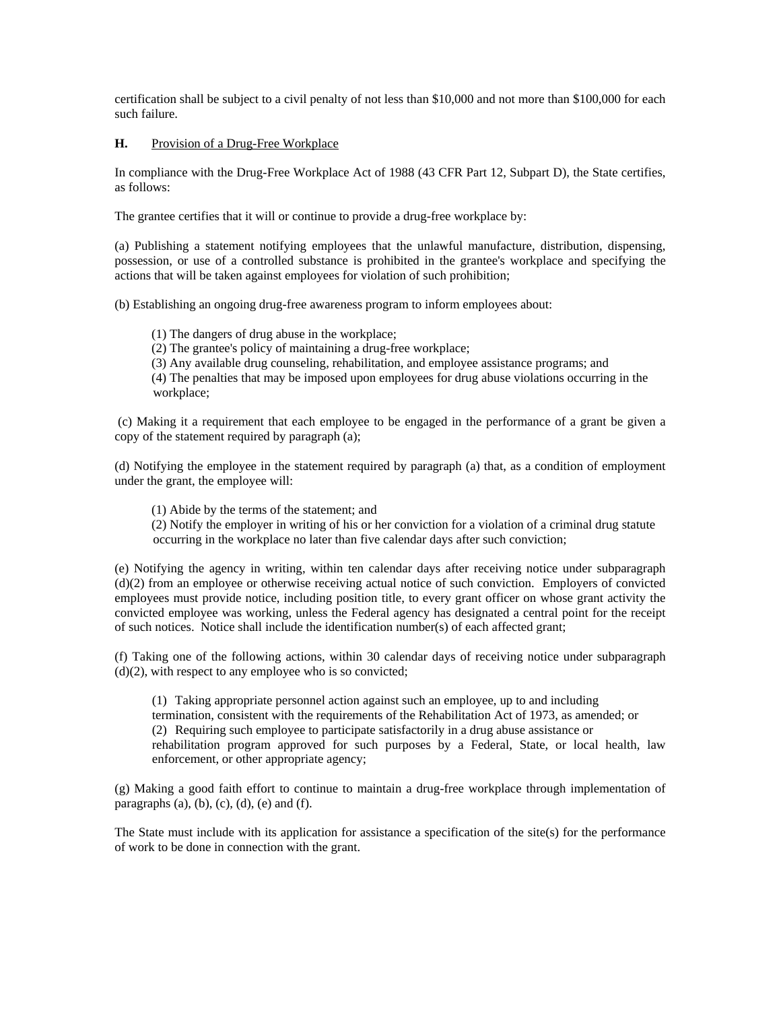certification shall be subject to a civil penalty of not less than \$10,000 and not more than \$100,000 for each such failure.

# **H.** Provision of a Drug-Free Workplace

In compliance with the Drug-Free Workplace Act of 1988 (43 CFR Part 12, Subpart D), the State certifies, as follows:

The grantee certifies that it will or continue to provide a drug-free workplace by:

(a) Publishing a statement notifying employees that the unlawful manufacture, distribution, dispensing, possession, or use of a controlled substance is prohibited in the grantee's workplace and specifying the actions that will be taken against employees for violation of such prohibition;

(b) Establishing an ongoing drug-free awareness program to inform employees about:

(1) The dangers of drug abuse in the workplace;

- (2) The grantee's policy of maintaining a drug-free workplace;
- (3) Any available drug counseling, rehabilitation, and employee assistance programs; and

 (4) The penalties that may be imposed upon employees for drug abuse violations occurring in the workplace;

 (c) Making it a requirement that each employee to be engaged in the performance of a grant be given a copy of the statement required by paragraph (a);

(d) Notifying the employee in the statement required by paragraph (a) that, as a condition of employment under the grant, the employee will:

(1) Abide by the terms of the statement; and

 (2) Notify the employer in writing of his or her conviction for a violation of a criminal drug statute occurring in the workplace no later than five calendar days after such conviction;

(e) Notifying the agency in writing, within ten calendar days after receiving notice under subparagraph (d)(2) from an employee or otherwise receiving actual notice of such conviction. Employers of convicted employees must provide notice, including position title, to every grant officer on whose grant activity the convicted employee was working, unless the Federal agency has designated a central point for the receipt of such notices. Notice shall include the identification number(s) of each affected grant;

(f) Taking one of the following actions, within 30 calendar days of receiving notice under subparagraph  $(d)(2)$ , with respect to any employee who is so convicted;

(1) Taking appropriate personnel action against such an employee, up to and including

termination, consistent with the requirements of the Rehabilitation Act of 1973, as amended; or

(2) Requiring such employee to participate satisfactorily in a drug abuse assistance or

rehabilitation program approved for such purposes by a Federal, State, or local health, law enforcement, or other appropriate agency;

(g) Making a good faith effort to continue to maintain a drug-free workplace through implementation of paragraphs  $(a)$ ,  $(b)$ ,  $(c)$ ,  $(d)$ ,  $(e)$  and  $(f)$ .

The State must include with its application for assistance a specification of the site(s) for the performance of work to be done in connection with the grant.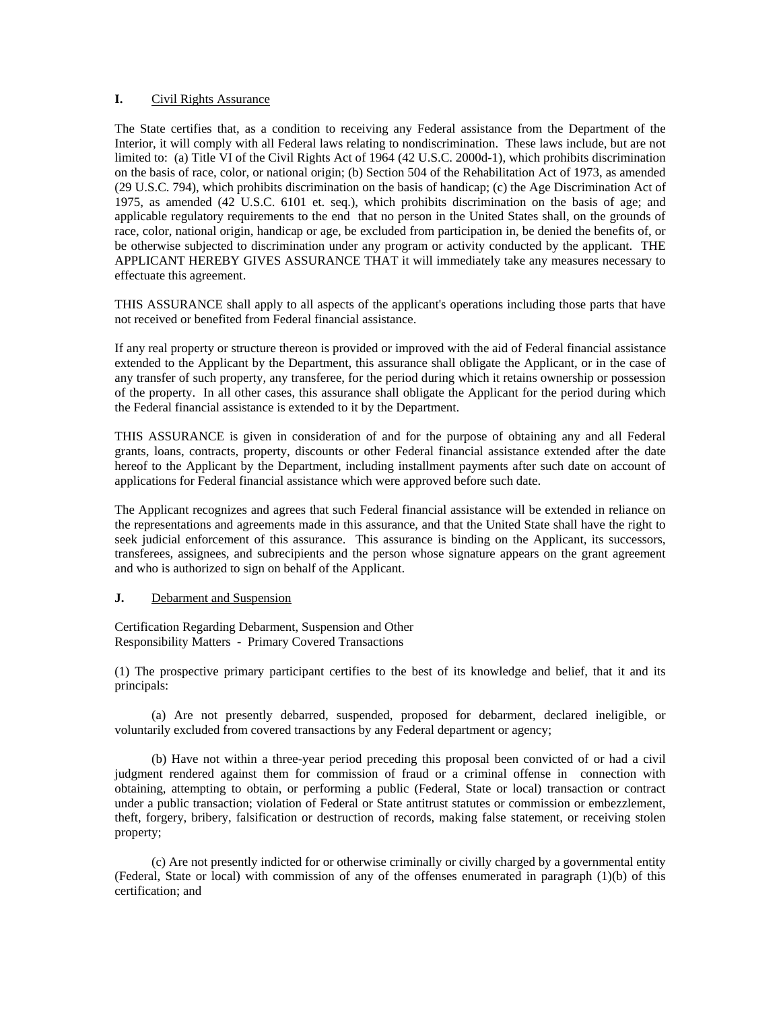## **I.** Civil Rights Assurance

The State certifies that, as a condition to receiving any Federal assistance from the Department of the Interior, it will comply with all Federal laws relating to nondiscrimination. These laws include, but are not limited to: (a) Title VI of the Civil Rights Act of 1964 (42 U.S.C. 2000d-1), which prohibits discrimination on the basis of race, color, or national origin; (b) Section 504 of the Rehabilitation Act of 1973, as amended (29 U.S.C. 794), which prohibits discrimination on the basis of handicap; (c) the Age Discrimination Act of 1975, as amended (42 U.S.C. 6101 et. seq.), which prohibits discrimination on the basis of age; and applicable regulatory requirements to the end that no person in the United States shall, on the grounds of race, color, national origin, handicap or age, be excluded from participation in, be denied the benefits of, or be otherwise subjected to discrimination under any program or activity conducted by the applicant. THE APPLICANT HEREBY GIVES ASSURANCE THAT it will immediately take any measures necessary to effectuate this agreement.

THIS ASSURANCE shall apply to all aspects of the applicant's operations including those parts that have not received or benefited from Federal financial assistance.

If any real property or structure thereon is provided or improved with the aid of Federal financial assistance extended to the Applicant by the Department, this assurance shall obligate the Applicant, or in the case of any transfer of such property, any transferee, for the period during which it retains ownership or possession of the property. In all other cases, this assurance shall obligate the Applicant for the period during which the Federal financial assistance is extended to it by the Department.

THIS ASSURANCE is given in consideration of and for the purpose of obtaining any and all Federal grants, loans, contracts, property, discounts or other Federal financial assistance extended after the date hereof to the Applicant by the Department, including installment payments after such date on account of applications for Federal financial assistance which were approved before such date.

The Applicant recognizes and agrees that such Federal financial assistance will be extended in reliance on the representations and agreements made in this assurance, and that the United State shall have the right to seek judicial enforcement of this assurance. This assurance is binding on the Applicant, its successors, transferees, assignees, and subrecipients and the person whose signature appears on the grant agreement and who is authorized to sign on behalf of the Applicant.

## **J.** Debarment and Suspension

Certification Regarding Debarment, Suspension and Other Responsibility Matters - Primary Covered Transactions

(1) The prospective primary participant certifies to the best of its knowledge and belief, that it and its principals:

 (a) Are not presently debarred, suspended, proposed for debarment, declared ineligible, or voluntarily excluded from covered transactions by any Federal department or agency;

 (b) Have not within a three-year period preceding this proposal been convicted of or had a civil judgment rendered against them for commission of fraud or a criminal offense in connection with obtaining, attempting to obtain, or performing a public (Federal, State or local) transaction or contract under a public transaction; violation of Federal or State antitrust statutes or commission or embezzlement, theft, forgery, bribery, falsification or destruction of records, making false statement, or receiving stolen property;

 (c) Are not presently indicted for or otherwise criminally or civilly charged by a governmental entity (Federal, State or local) with commission of any of the offenses enumerated in paragraph (1)(b) of this certification; and